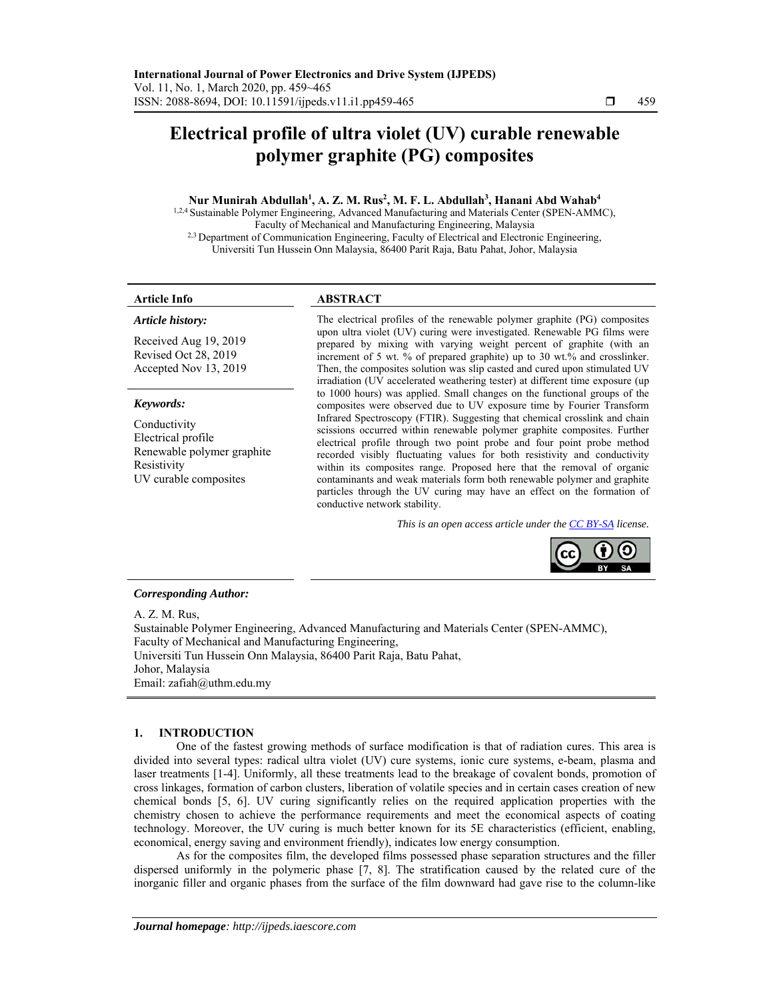# **Electrical profile of ultra violet (UV) curable renewable polymer graphite (PG) composites**

# **Nur Munirah Abdullah1 , A. Z. M. Rus2 , M. F. L. Abdullah3 , Hanani Abd Wahab4**

1,2,4 Sustainable Polymer Engineering, Advanced Manufacturing and Materials Center (SPEN-AMMC), Faculty of Mechanical and Manufacturing Engineering, Malaysia <sup>2,3</sup> Department of Communication Engineering, Faculty of Electrical and Electronic Engineering, Universiti Tun Hussein Onn Malaysia, 86400 Parit Raja, Batu Pahat, Johor, Malaysia

### **Article Info ABSTRACT**

# *Article history:*

Received Aug 19, 2019 Revised Oct 28, 2019 Accepted Nov 13, 2019

# *Keywords:*

Conductivity Electrical profile Renewable polymer graphite Resistivity UV curable composites

The electrical profiles of the renewable polymer graphite (PG) composites upon ultra violet (UV) curing were investigated. Renewable PG films were prepared by mixing with varying weight percent of graphite (with an increment of 5 wt. % of prepared graphite) up to 30 wt.% and crosslinker. Then, the composites solution was slip casted and cured upon stimulated UV irradiation (UV accelerated weathering tester) at different time exposure (up to 1000 hours) was applied. Small changes on the functional groups of the composites were observed due to UV exposure time by Fourier Transform Infrared Spectroscopy (FTIR). Suggesting that chemical crosslink and chain scissions occurred within renewable polymer graphite composites. Further electrical profile through two point probe and four point probe method recorded visibly fluctuating values for both resistivity and conductivity within its composites range. Proposed here that the removal of organic contaminants and weak materials form both renewable polymer and graphite particles through the UV curing may have an effect on the formation of conductive network stability.

*This is an open access article under the CC BY-SA license.* 



# *Corresponding Author:*

A. Z. M. Rus, Sustainable Polymer Engineering, Advanced Manufacturing and Materials Center (SPEN-AMMC), Faculty of Mechanical and Manufacturing Engineering, Universiti Tun Hussein Onn Malaysia, 86400 Parit Raja, Batu Pahat, Johor, Malaysia Email: zafiah@uthm.edu.my

# **1. INTRODUCTION**

One of the fastest growing methods of surface modification is that of radiation cures. This area is divided into several types: radical ultra violet (UV) cure systems, ionic cure systems, e-beam, plasma and laser treatments [1-4]. Uniformly, all these treatments lead to the breakage of covalent bonds, promotion of cross linkages, formation of carbon clusters, liberation of volatile species and in certain cases creation of new chemical bonds [5, 6]. UV curing significantly relies on the required application properties with the chemistry chosen to achieve the performance requirements and meet the economical aspects of coating technology. Moreover, the UV curing is much better known for its 5E characteristics (efficient, enabling, economical, energy saving and environment friendly), indicates low energy consumption.

As for the composites film, the developed films possessed phase separation structures and the filler dispersed uniformly in the polymeric phase [7, 8]. The stratification caused by the related cure of the inorganic filler and organic phases from the surface of the film downward had gave rise to the column-like

j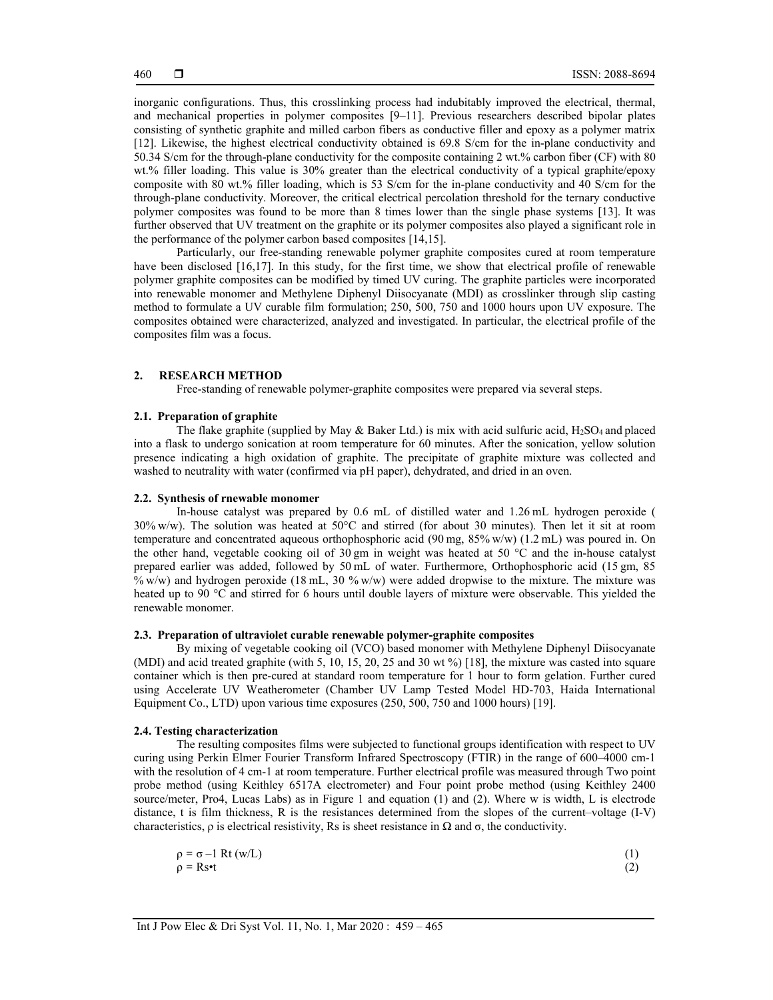inorganic configurations. Thus, this crosslinking process had indubitably improved the electrical, thermal, and mechanical properties in polymer composites [9–11]. Previous researchers described bipolar plates consisting of synthetic graphite and milled carbon fibers as conductive filler and epoxy as a polymer matrix [12]. Likewise, the highest electrical conductivity obtained is 69.8 S/cm for the in-plane conductivity and 50.34 S/cm for the through-plane conductivity for the composite containing 2 wt.% carbon fiber (CF) with 80 wt.% filler loading. This value is 30% greater than the electrical conductivity of a typical graphite/epoxy composite with 80 wt.% filler loading, which is 53 S/cm for the in-plane conductivity and 40 S/cm for the through-plane conductivity. Moreover, the critical electrical percolation threshold for the ternary conductive polymer composites was found to be more than 8 times lower than the single phase systems [13]. It was further observed that UV treatment on the graphite or its polymer composites also played a significant role in the performance of the polymer carbon based composites [14,15].

Particularly, our free-standing renewable polymer graphite composites cured at room temperature have been disclosed [16,17]. In this study, for the first time, we show that electrical profile of renewable polymer graphite composites can be modified by timed UV curing. The graphite particles were incorporated into renewable monomer and Methylene Diphenyl Diisocyanate (MDI) as crosslinker through slip casting method to formulate a UV curable film formulation; 250, 500, 750 and 1000 hours upon UV exposure. The composites obtained were characterized, analyzed and investigated. In particular, the electrical profile of the composites film was a focus.

# **2. RESEARCH METHOD**

Free-standing of renewable polymer-graphite composites were prepared via several steps.

## **2.1. Preparation of graphite**

The flake graphite (supplied by May & Baker Ltd.) is mix with acid sulfuric acid,  $H_2SO_4$  and placed into a flask to undergo sonication at room temperature for 60 minutes. After the sonication, yellow solution presence indicating a high oxidation of graphite. The precipitate of graphite mixture was collected and washed to neutrality with water (confirmed via pH paper), dehydrated, and dried in an oven.

#### **2.2. Synthesis of rnewable monomer**

In-house catalyst was prepared by 0.6 mL of distilled water and 1.26 mL hydrogen peroxide ( 30% w/w). The solution was heated at 50°C and stirred (for about 30 minutes). Then let it sit at room temperature and concentrated aqueous orthophosphoric acid (90 mg, 85% w/w) (1.2 mL) was poured in. On the other hand, vegetable cooking oil of 30 gm in weight was heated at 50 °C and the in-house catalyst prepared earlier was added, followed by 50 mL of water. Furthermore, Orthophosphoric acid (15 gm, 85 % w/w) and hydrogen peroxide (18 mL, 30 % w/w) were added dropwise to the mixture. The mixture was heated up to 90 °C and stirred for 6 hours until double layers of mixture were observable. This yielded the renewable monomer.

### **2.3. Preparation of ultraviolet curable renewable polymer-graphite composites**

By mixing of vegetable cooking oil (VCO) based monomer with Methylene Diphenyl Diisocyanate (MDI) and acid treated graphite (with 5, 10, 15, 20, 25 and 30 wt %) [18], the mixture was casted into square container which is then pre-cured at standard room temperature for 1 hour to form gelation. Further cured using Accelerate UV Weatherometer (Chamber UV Lamp Tested Model HD-703, Haida International Equipment Co., LTD) upon various time exposures (250, 500, 750 and 1000 hours) [19].

### **2.4. Testing characterization**

The resulting composites films were subjected to functional groups identification with respect to UV curing using Perkin Elmer Fourier Transform Infrared Spectroscopy (FTIR) in the range of 600–4000 cm-1 with the resolution of 4 cm-1 at room temperature. Further electrical profile was measured through Two point probe method (using Keithley 6517A electrometer) and Four point probe method (using Keithley 2400 source/meter, Pro4, Lucas Labs) as in Figure 1 and equation (1) and (2). Where w is width, L is electrode distance, t is film thickness, R is the resistances determined from the slopes of the current–voltage (I-V) characteristics,  $\rho$  is electrical resistivity, Rs is sheet resistance in  $\Omega$  and  $\sigma$ , the conductivity.

| $\rho = \sigma - 1 \text{ Rt (w/L)}$ | (1) |
|--------------------------------------|-----|
| $\rho = \text{Rs} \cdot t$           | (2) |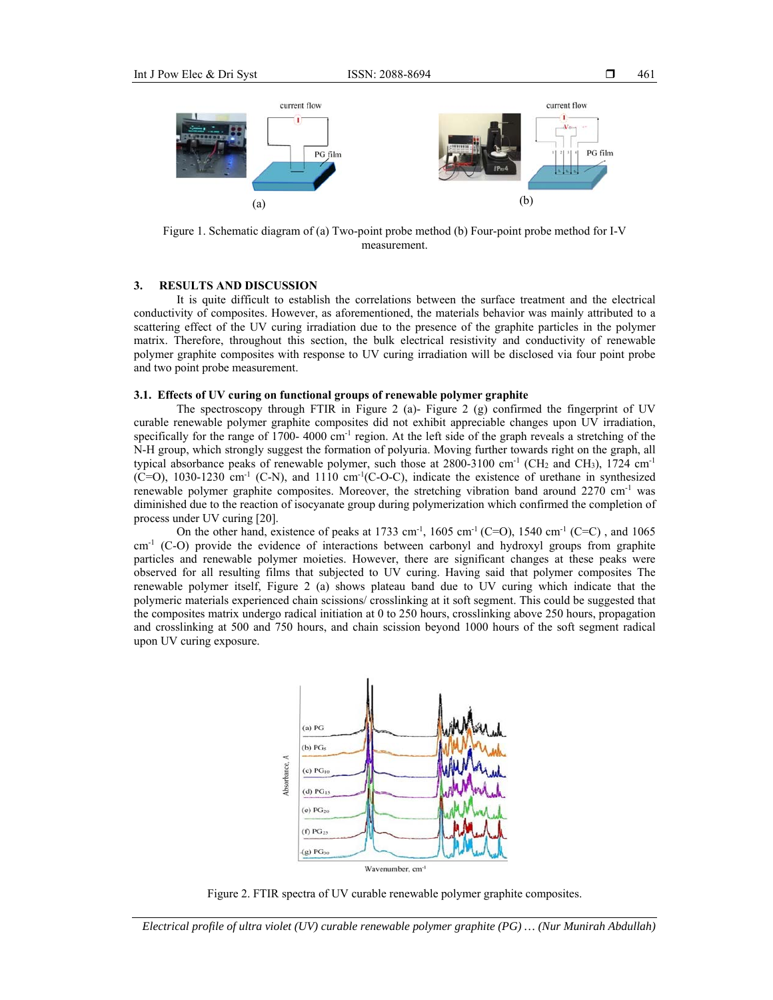

Figure 1. Schematic diagram of (a) Two-point probe method (b) Four-point probe method for I-V measurement.

# **3. RESULTS AND DISCUSSION**

It is quite difficult to establish the correlations between the surface treatment and the electrical conductivity of composites. However, as aforementioned, the materials behavior was mainly attributed to a scattering effect of the UV curing irradiation due to the presence of the graphite particles in the polymer matrix. Therefore, throughout this section, the bulk electrical resistivity and conductivity of renewable polymer graphite composites with response to UV curing irradiation will be disclosed via four point probe and two point probe measurement.

#### **3.1. Effects of UV curing on functional groups of renewable polymer graphite**

The spectroscopy through FTIR in Figure 2 (a)- Figure 2 (g) confirmed the fingerprint of UV curable renewable polymer graphite composites did not exhibit appreciable changes upon UV irradiation, specifically for the range of 1700- 4000 cm<sup>-1</sup> region. At the left side of the graph reveals a stretching of the N-H group, which strongly suggest the formation of polyuria. Moving further towards right on the graph, all typical absorbance peaks of renewable polymer, such those at  $2800-3100$  cm<sup>-1</sup> (CH<sub>2</sub> and CH<sub>3</sub>), 1724 cm<sup>-1</sup>  $(C=O)$ , 1030-1230 cm<sup>-1</sup> (C-N), and 1110 cm<sup>-1</sup>(C-O-C), indicate the existence of urethane in synthesized renewable polymer graphite composites. Moreover, the stretching vibration band around  $2270 \text{ cm}^{-1}$  was diminished due to the reaction of isocyanate group during polymerization which confirmed the completion of process under UV curing [20].

On the other hand, existence of peaks at 1733 cm<sup>-1</sup>, 1605 cm<sup>-1</sup> (C=O), 1540 cm<sup>-1</sup> (C=C), and 1065 cm<sup>-1</sup> (C-O) provide the evidence of interactions between carbonyl and hydroxyl groups from graphite particles and renewable polymer moieties. However, there are significant changes at these peaks were observed for all resulting films that subjected to UV curing. Having said that polymer composites The renewable polymer itself, Figure 2 (a) shows plateau band due to UV curing which indicate that the polymeric materials experienced chain scissions/ crosslinking at it soft segment. This could be suggested that the composites matrix undergo radical initiation at 0 to 250 hours, crosslinking above 250 hours, propagation and crosslinking at 500 and 750 hours, and chain scission beyond 1000 hours of the soft segment radical upon UV curing exposure.



Figure 2. FTIR spectra of UV curable renewable polymer graphite composites.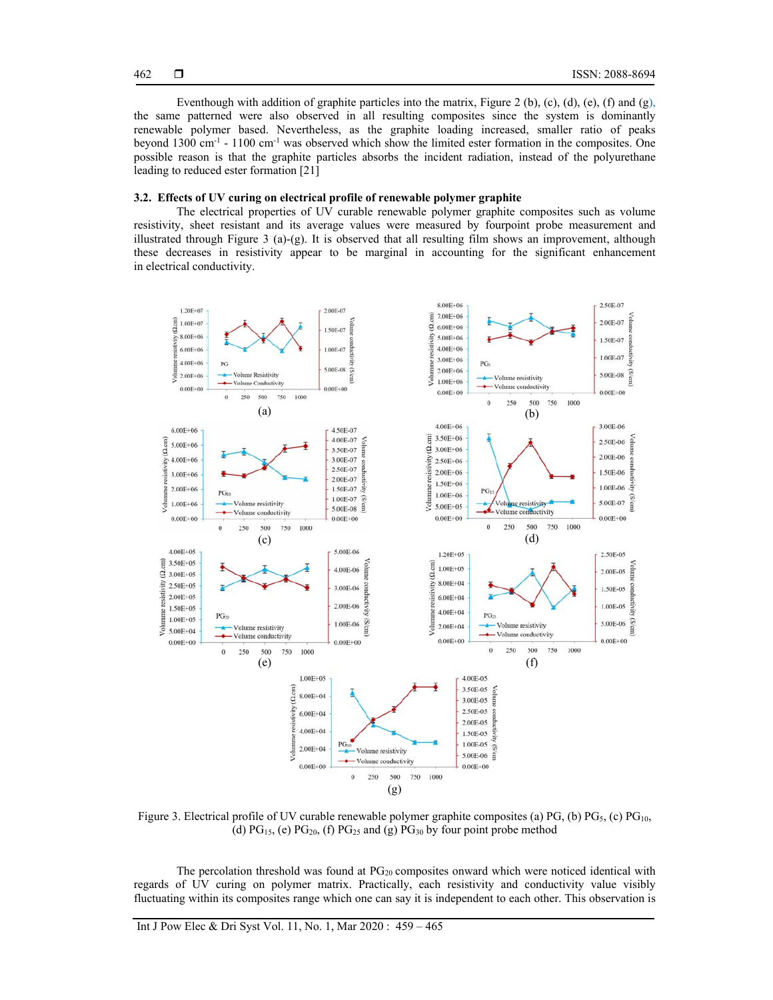Eventhough with addition of graphite particles into the matrix, Figure 2 (b), (c), (d), (e), (f) and  $(g)$ , the same patterned were also observed in all resulting composites since the system is dominantly renewable polymer based. Nevertheless, as the graphite loading increased, smaller ratio of peaks beyond  $1300 \text{ cm}^{-1}$  -  $1100 \text{ cm}^{-1}$  was observed which show the limited ester formation in the composites. One possible reason is that the graphite particles absorbs the incident radiation, instead of the polyurethane leading to reduced ester formation [21]

# **3.2. Effects of UV curing on electrical profile of renewable polymer graphite**

The electrical properties of UV curable renewable polymer graphite composites such as volume resistivity, sheet resistant and its average values were measured by fourpoint probe measurement and illustrated through Figure 3 (a)-(g). It is observed that all resulting film shows an improvement, although these decreases in resistivity appear to be marginal in accounting for the significant enhancement in electrical conductivity.



Figure 3. Electrical profile of UV curable renewable polymer graphite composites (a) PG, (b)  $PG_5$ , (c)  $PG_{10}$ , (d)  $PG<sub>15</sub>$ , (e)  $PG<sub>20</sub>$ , (f)  $PG<sub>25</sub>$  and (g)  $PG<sub>30</sub>$  by four point probe method

The percolation threshold was found at  $PG_{20}$  composites onward which were noticed identical with regards of UV curing on polymer matrix. Practically, each resistivity and conductivity value visibly fluctuating within its composites range which one can say it is independent to each other. This observation is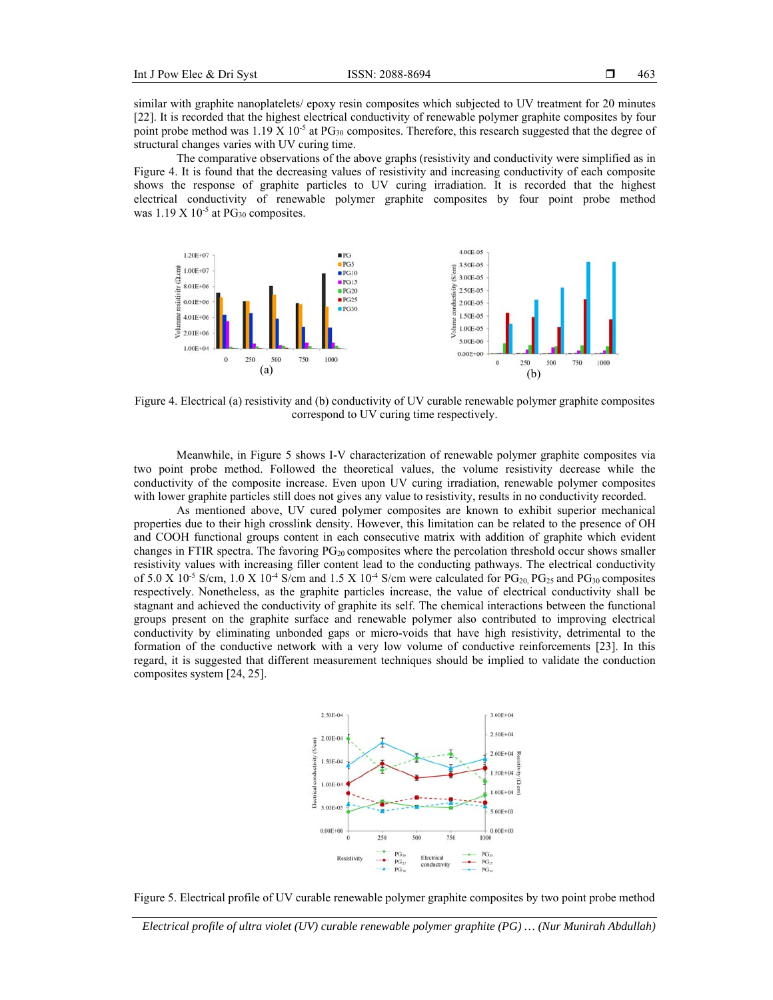similar with graphite nanoplatelets/ epoxy resin composites which subjected to UV treatment for 20 minutes [22]. It is recorded that the highest electrical conductivity of renewable polymer graphite composites by four point probe method was 1.19 X 10<sup>-5</sup> at PG<sub>30</sub> composites. Therefore, this research suggested that the degree of structural changes varies with UV curing time.

The comparative observations of the above graphs (resistivity and conductivity were simplified as in Figure 4. It is found that the decreasing values of resistivity and increasing conductivity of each composite shows the response of graphite particles to UV curing irradiation. It is recorded that the highest electrical conductivity of renewable polymer graphite composites by four point probe method was  $1.19 \text{ X } 10^{-5}$  at PG<sub>30</sub> composites.



Figure 4. Electrical (a) resistivity and (b) conductivity of UV curable renewable polymer graphite composites correspond to UV curing time respectively.

Meanwhile, in Figure 5 shows I-V characterization of renewable polymer graphite composites via two point probe method. Followed the theoretical values, the volume resistivity decrease while the conductivity of the composite increase. Even upon UV curing irradiation, renewable polymer composites with lower graphite particles still does not gives any value to resistivity, results in no conductivity recorded.

As mentioned above, UV cured polymer composites are known to exhibit superior mechanical properties due to their high crosslink density. However, this limitation can be related to the presence of OH and COOH functional groups content in each consecutive matrix with addition of graphite which evident changes in FTIR spectra. The favoring  $PG_{20}$  composites where the percolation threshold occur shows smaller resistivity values with increasing filler content lead to the conducting pathways. The electrical conductivity of 5.0 X 10<sup>-5</sup> S/cm, 1.0 X 10<sup>-4</sup> S/cm and 1.5 X 10<sup>-4</sup> S/cm were calculated for PG<sub>20</sub> PG<sub>25</sub> and PG<sub>30</sub> composites respectively. Nonetheless, as the graphite particles increase, the value of electrical conductivity shall be stagnant and achieved the conductivity of graphite its self. The chemical interactions between the functional groups present on the graphite surface and renewable polymer also contributed to improving electrical conductivity by eliminating unbonded gaps or micro-voids that have high resistivity, detrimental to the formation of the conductive network with a very low volume of conductive reinforcements [23]. In this regard, it is suggested that different measurement techniques should be implied to validate the conduction composites system [24, 25].



Figure 5. Electrical profile of UV curable renewable polymer graphite composites by two point probe method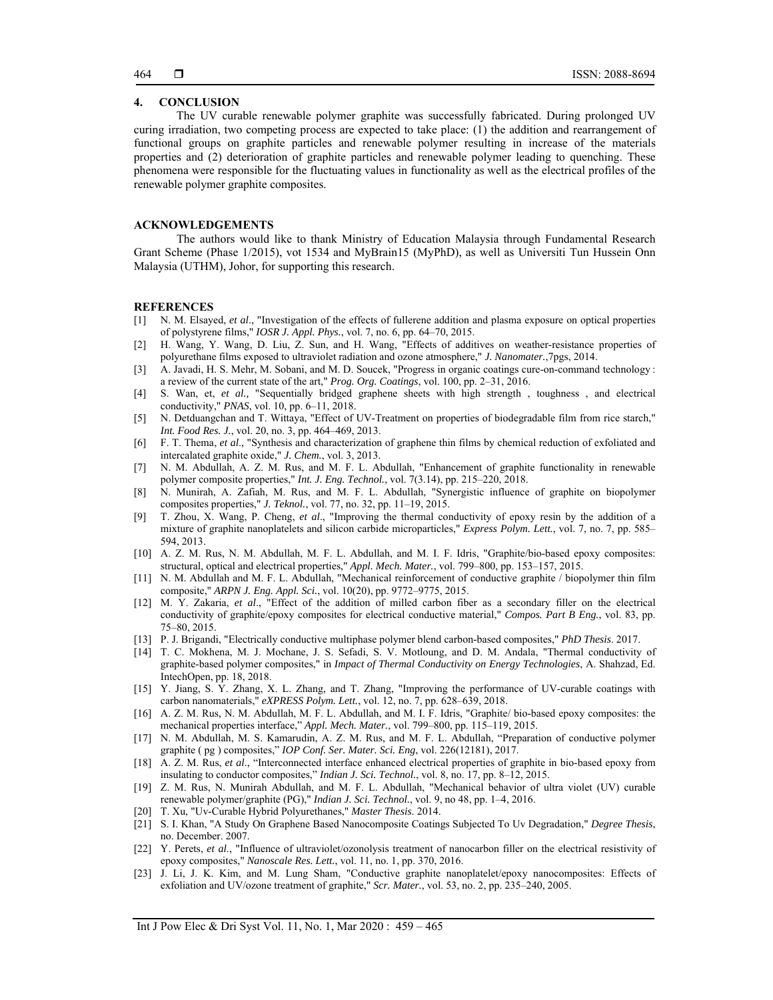# **4. CONCLUSION**

The UV curable renewable polymer graphite was successfully fabricated. During prolonged UV curing irradiation, two competing process are expected to take place: (1) the addition and rearrangement of functional groups on graphite particles and renewable polymer resulting in increase of the materials properties and (2) deterioration of graphite particles and renewable polymer leading to quenching. These phenomena were responsible for the fluctuating values in functionality as well as the electrical profiles of the renewable polymer graphite composites.

#### **ACKNOWLEDGEMENTS**

The authors would like to thank Ministry of Education Malaysia through Fundamental Research Grant Scheme (Phase 1/2015), vot 1534 and MyBrain15 (MyPhD), as well as Universiti Tun Hussein Onn Malaysia (UTHM), Johor, for supporting this research.

#### **REFERENCES**

- [1] N. M. Elsayed, *et al*., "Investigation of the effects of fullerene addition and plasma exposure on optical properties of polystyrene films," *IOSR J. Appl. Phys.*, vol. 7, no. 6, pp. 64–70, 2015.
- [2] H. Wang, Y. Wang, D. Liu, Z. Sun, and H. Wang, "Effects of additives on weather-resistance properties of polyurethane films exposed to ultraviolet radiation and ozone atmosphere," *J. Nanomater.*,7pgs, 2014.
- [3] A. Javadi, H. S. Mehr, M. Sobani, and M. D. Soucek, "Progress in organic coatings cure-on-command technology : a review of the current state of the art," *Prog. Org. Coatings*, vol. 100, pp. 2–31, 2016.
- [4] S. Wan, et, *et al.,* "Sequentially bridged graphene sheets with high strength , toughness , and electrical conductivity," *PNAS*, vol. 10, pp. 6–11, 2018.
- [5] N. Detduangchan and T. Wittaya, "Effect of UV-Treatment on properties of biodegradable film from rice starch," *Int. Food Res. J.*, vol. 20, no. 3, pp. 464–469, 2013.
- [6] F. T. Thema, *et al*., "Synthesis and characterization of graphene thin films by chemical reduction of exfoliated and intercalated graphite oxide," *J. Chem.*, vol. 3, 2013.
- [7] N. M. Abdullah, A. Z. M. Rus, and M. F. L. Abdullah, "Enhancement of graphite functionality in renewable polymer composite properties," *Int. J. Eng. Technol.*, vol. 7(3.14), pp. 215–220, 2018.
- [8] N. Munirah, A. Zafiah, M. Rus, and M. F. L. Abdullah, "Synergistic influence of graphite on biopolymer composites properties," *J. Teknol.*, vol. 77, no. 32, pp. 11–19, 2015.
- [9] T. Zhou, X. Wang, P. Cheng, *et al*., "Improving the thermal conductivity of epoxy resin by the addition of a mixture of graphite nanoplatelets and silicon carbide microparticles," *Express Polym. Lett.*, vol. 7, no. 7, pp. 585– 594, 2013.
- [10] A. Z. M. Rus, N. M. Abdullah, M. F. L. Abdullah, and M. I. F. Idris, "Graphite/bio-based epoxy composites: structural, optical and electrical properties," *Appl. Mech. Mater.*, vol. 799–800, pp. 153–157, 2015.
- [11] N. M. Abdullah and M. F. L. Abdullah, "Mechanical reinforcement of conductive graphite / biopolymer thin film composite," *ARPN J. Eng. Appl. Sci.*, vol. 10(20), pp. 9772–9775, 2015.
- [12] M. Y. Zakaria, *et al*., "Effect of the addition of milled carbon fiber as a secondary filler on the electrical conductivity of graphite/epoxy composites for electrical conductive material," *Compos. Part B Eng.*, vol. 83, pp. 75–80, 2015.
- [13] P. J. Brigandi, "Electrically conductive multiphase polymer blend carbon-based composites," *PhD Thesis*. 2017.
- [14] T. C. Mokhena, M. J. Mochane, J. S. Sefadi, S. V. Motloung, and D. M. Andala, "Thermal conductivity of graphite-based polymer composites," in *Impact of Thermal Conductivity on Energy Technologies*, A. Shahzad, Ed. IntechOpen, pp. 18, 2018.
- [15] Y. Jiang, S. Y. Zhang, X. L. Zhang, and T. Zhang, "Improving the performance of UV-curable coatings with carbon nanomaterials," *eXPRESS Polym. Lett.*, vol. 12, no. 7, pp. 628–639, 2018.
- [16] A. Z. M. Rus, N. M. Abdullah, M. F. L. Abdullah, and M. I. F. Idris, "Graphite/ bio-based epoxy composites: the mechanical properties interface," *Appl. Mech. Mater.*, vol. 799–800, pp. 115–119, 2015.
- [17] N. M. Abdullah, M. S. Kamarudin, A. Z. M. Rus, and M. F. L. Abdullah, "Preparation of conductive polymer graphite ( pg ) composites," *IOP Conf. Ser. Mater. Sci. Eng*, vol. 226(12181), 2017.
- [18] A. Z. M. Rus, *et al*., "Interconnected interface enhanced electrical properties of graphite in bio-based epoxy from insulating to conductor composites," *Indian J. Sci. Technol.*, vol. 8, no. 17, pp. 8–12, 2015.
- [19] Z. M. Rus, N. Munirah Abdullah, and M. F. L. Abdullah, "Mechanical behavior of ultra violet (UV) curable renewable polymer/graphite (PG)," *Indian J. Sci. Technol.*, vol. 9, no 48, pp. 1–4, 2016.
- [20] T. Xu, "Uv-Curable Hybrid Polyurethanes," *Master Thesis*. 2014.
- [21] S. I. Khan, "A Study On Graphene Based Nanocomposite Coatings Subjected To Uv Degradation," *Degree Thesis*, no. December. 2007.
- [22] Y. Perets, *et al*., "Influence of ultraviolet/ozonolysis treatment of nanocarbon filler on the electrical resistivity of epoxy composites," *Nanoscale Res. Lett.*, vol. 11, no. 1, pp. 370, 2016.
- [23] J. Li, J. K. Kim, and M. Lung Sham, "Conductive graphite nanoplatelet/epoxy nanocomposites: Effects of exfoliation and UV/ozone treatment of graphite," *Scr. Mater.*, vol. 53, no. 2, pp. 235–240, 2005.